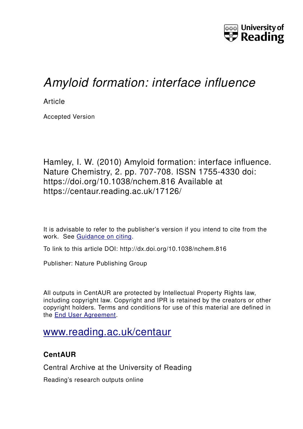

# *Amyloid formation: interface influence*

**Article** 

Accepted Version

Hamley, I. W. (2010) Amyloid formation: interface influence. Nature Chemistry, 2. pp. 707-708. ISSN 1755-4330 doi: https://doi.org/10.1038/nchem.816 Available at https://centaur.reading.ac.uk/17126/

It is advisable to refer to the publisher's version if you intend to cite from the work. See [Guidance on citing.](http://centaur.reading.ac.uk/71187/10/CentAUR%20citing%20guide.pdf)

To link to this article DOI: http://dx.doi.org/10.1038/nchem.816

Publisher: Nature Publishing Group

All outputs in CentAUR are protected by Intellectual Property Rights law, including copyright law. Copyright and IPR is retained by the creators or other copyright holders. Terms and conditions for use of this material are defined in the [End User Agreement.](http://centaur.reading.ac.uk/licence)

## [www.reading.ac.uk/centaur](http://www.reading.ac.uk/centaur)

### **CentAUR**

Central Archive at the University of Reading

Reading's research outputs online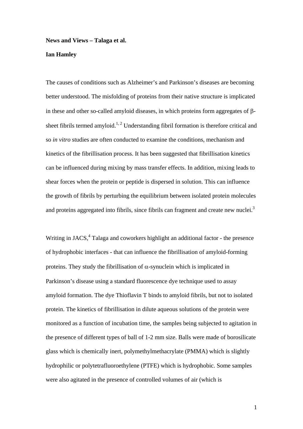#### **News and Views – Talaga et al.**

### **Ian Hamley**

The causes of conditions such as Alzheimer's and Parkinson's diseases are becoming better understood. The misfolding of proteins from their native structure is implicated in these and other so-called amyloid diseases, in which proteins form aggregates of βsheet fibrils termed amyloid.<sup>1, 2</sup> Understanding fibril formation is therefore critical and so *in vitro* studies are often conducted to examine the conditions, mechanism and kinetics of the fibrillisation process. It has been suggested that fibrillisation kinetics can be influenced during mixing by mass transfer effects. In addition, mixing leads to shear forces when the protein or peptide is dispersed in solution. This can influence the growth of fibrils by perturbing the equilibrium between isolated protein molecules and proteins aggregated into fibrils, since fibrils can fragment and create new nuclei.<sup>3</sup>

Writing in JACS, $4$  Talaga and coworkers highlight an additional factor - the presence of hydrophobic interfaces - that can influence the fibrillisation of amyloid-forming proteins. They study the fibrillisation of  $\alpha$ -synuclein which is implicated in Parkinson's disease using a standard fluorescence dye technique used to assay amyloid formation. The dye Thioflavin T binds to amyloid fibrils, but not to isolated protein. The kinetics of fibrillisation in dilute aqueous solutions of the protein were monitored as a function of incubation time, the samples being subjected to agitation in the presence of different types of ball of 1-2 mm size. Balls were made of borosilicate glass which is chemically inert, polymethylmethacrylate (PMMA) which is slightly hydrophilic or polytetrafluoroethylene (PTFE) which is hydrophobic. Some samples were also agitated in the presence of controlled volumes of air (which is

1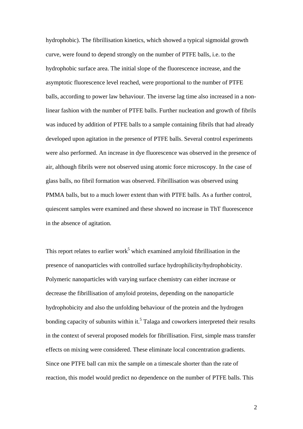hydrophobic). The fibrillisation kinetics, which showed a typical sigmoidal growth curve, were found to depend strongly on the number of PTFE balls, i.e. to the hydrophobic surface area. The initial slope of the fluorescence increase, and the asymptotic fluorescence level reached, were proportional to the number of PTFE balls, according to power law behaviour. The inverse lag time also increased in a nonlinear fashion with the number of PTFE balls. Further nucleation and growth of fibrils was induced by addition of PTFE balls to a sample containing fibrils that had already developed upon agitation in the presence of PTFE balls. Several control experiments were also performed. An increase in dye fluorescence was observed in the presence of air, although fibrils were not observed using atomic force microscopy. In the case of glass balls, no fibril formation was observed. Fibrillisation was observed using PMMA balls, but to a much lower extent than with PTFE balls. As a further control, quiescent samples were examined and these showed no increase in ThT fluorescence in the absence of agitation.

This report relates to earlier work<sup>5</sup> which examined amyloid fibrillisation in the presence of nanoparticles with controlled surface hydrophilicity/hydrophobicity. Polymeric nanoparticles with varying surface chemistry can either increase or decrease the fibrillisation of amyloid proteins, depending on the nanoparticle hydrophobicity and also the unfolding behaviour of the protein and the hydrogen bonding capacity of subunits within it.<sup>5</sup> Talaga and coworkers interpreted their results in the context of several proposed models for fibrillisation. First, simple mass transfer effects on mixing were considered. These eliminate local concentration gradients. Since one PTFE ball can mix the sample on a timescale shorter than the rate of reaction, this model would predict no dependence on the number of PTFE balls. This

2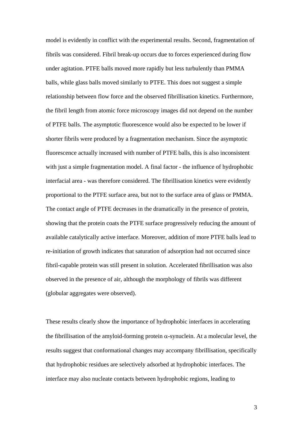model is evidently in conflict with the experimental results. Second, fragmentation of fibrils was considered. Fibril break-up occurs due to forces experienced during flow under agitation. PTFE balls moved more rapidly but less turbulently than PMMA balls, while glass balls moved similarly to PTFE. This does not suggest a simple relationship between flow force and the observed fibrillisation kinetics. Furthermore, the fibril length from atomic force microscopy images did not depend on the number of PTFE balls. The asymptotic fluorescence would also be expected to be lower if shorter fibrils were produced by a fragmentation mechanism. Since the asymptotic fluorescence actually increased with number of PTFE balls, this is also inconsistent with just a simple fragmentation model. A final factor - the influence of hydrophobic interfacial area - was therefore considered. The fibrillisation kinetics were evidently proportional to the PTFE surface area, but not to the surface area of glass or PMMA. The contact angle of PTFE decreases in the dramatically in the presence of protein, showing that the protein coats the PTFE surface progressively reducing the amount of available catalytically active interface. Moreover, addition of more PTFE balls lead to re-initiation of growth indicates that saturation of adsorption had not occurred since fibril-capable protein was still present in solution. Accelerated fibrillisation was also observed in the presence of air, although the morphology of fibrils was different (globular aggregates were observed).

These results clearly show the importance of hydrophobic interfaces in accelerating the fibrillisation of the amyloid-forming protein  $\alpha$ -synuclein. At a molecular level, the results suggest that conformational changes may accompany fibrillisation, specifically that hydrophobic residues are selectively adsorbed at hydrophobic interfaces. The interface may also nucleate contacts between hydrophobic regions, leading to

3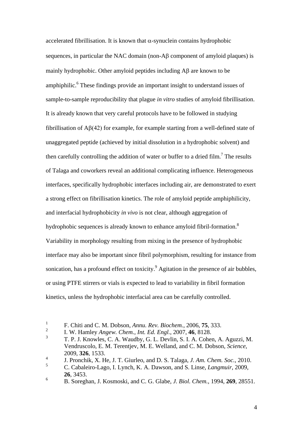accelerated fibrillisation. It is known that  $\alpha$ -synuclein contains hydrophobic sequences, in particular the NAC domain (non-Aβ component of amyloid plaques) is mainly hydrophobic. Other amyloid peptides including Aβ are known to be amphiphilic.<sup>6</sup> These findings provide an important insight to understand issues of sample-to-sample reproducibility that plague *in vitro* studies of amyloid fibrillisation. It is already known that very careful protocols have to be followed in studying fibrillisation of Aβ(42) for example, for example starting from a well-defined state of unaggregated peptide (achieved by initial dissolution in a hydrophobic solvent) and then carefully controlling the addition of water or buffer to a dried film.<sup>7</sup> The results of Talaga and coworkers reveal an additional complicating influence. Heterogeneous interfaces, specifically hydrophobic interfaces including air, are demonstrated to exert a strong effect on fibrillisation kinetics. The role of amyloid peptide amphiphilicity, and interfacial hydrophobicity *in vivo* is not clear, although aggregation of hydrophobic sequences is already known to enhance amyloid fibril-formation.<sup>8</sup> Variability in morphology resulting from mixing in the presence of hydrophobic interface may also be important since fibril polymorphism, resulting for instance from sonication, has a profound effect on toxicity.  $9$  Agitation in the presence of air bubbles, or using PTFE stirrers or vials is expected to lead to variability in fibril formation kinetics, unless the hydrophobic interfacial area can be carefully controlled.

<sup>1</sup> F. Chiti and C. M. Dobson, *Annu. Rev. Biochem.*, 2006, **75**, 333.

<sup>2</sup> I. W. Hamley *Angew. Chem., Int. Ed. Engl.*, 2007, **46**, 8128.

<sup>3</sup> T. P. J. Knowles, C. A. Waudby, G. L. Devlin, S. I. A. Cohen, A. Aguzzi, M. Vendruscolo, E. M. Terentjev, M. E. Welland, and C. M. Dobson, *Science*, 2009, **326**, 1533.

<sup>4</sup> J. Pronchik, X. He, J. T. Giurleo, and D. S. Talaga, *J. Am. Chem. Soc.*, 2010.

<sup>5</sup> C. Cabaleiro-Lago, I. Lynch, K. A. Dawson, and S. Linse, *Langmuir*, 2009, **26**, 3453.

<sup>6</sup> B. Soreghan, J. Kosmoski, and C. G. Glabe, *J. Biol. Chem.*, 1994, **269**, 28551.